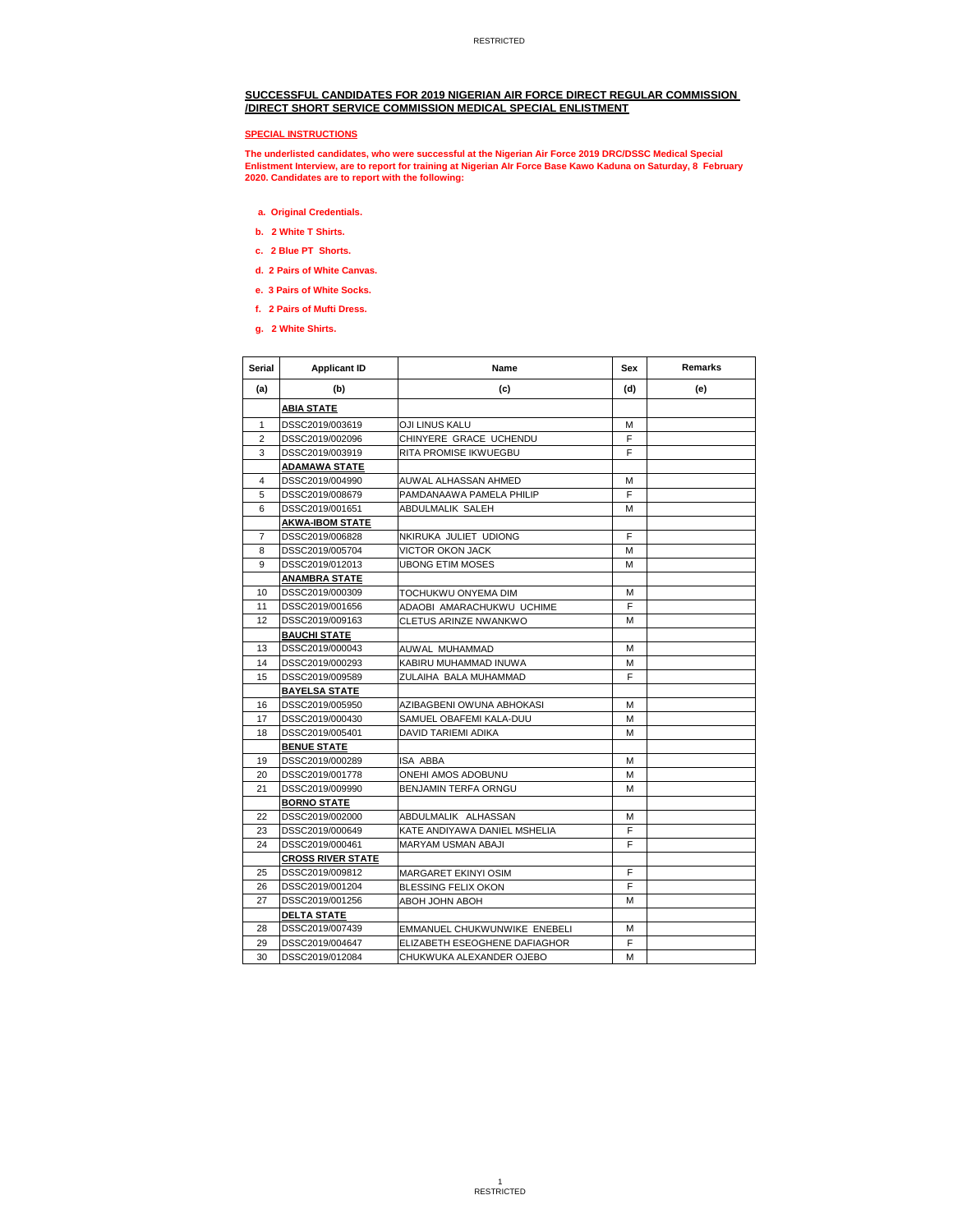# **SUCCESSFUL CANDIDATES FOR 2019 NIGERIAN AIR FORCE DIRECT REGULAR COMMISSION /DIRECT SHORT SERVICE COMMISSION MEDICAL SPECIAL ENLISTMENT**

### **SPECIAL INSTRUCTIONS**

The underlisted candidates, who were successful at the Nigerian Air Force 2019 DRC/DSSC Medical Special<br>Enlistment Interview, are to report for training at Nigerian AIr Force Base Kawo Kaduna on Saturday, 8 February<br>2020.

- **a. Original Credentials.**
- **b. 2 White T Shirts.**
- **c. 2 Blue PT Shorts.**
- **d. 2 Pairs of White Canvas.**
- **e. 3 Pairs of White Socks.**
- **f. 2 Pairs of Mufti Dress.**
- **g. 2 White Shirts.**

| <b>Serial</b>  | <b>Applicant ID</b>      | Name                          | Sex | <b>Remarks</b> |
|----------------|--------------------------|-------------------------------|-----|----------------|
| (a)            | (b)                      | (c)                           | (d) | (e)            |
|                | <b>ABIA STATE</b>        |                               |     |                |
| 1              | DSSC2019/003619          | OJI LINUS KALU                | м   |                |
| $\overline{2}$ | DSSC2019/002096          | CHINYERE GRACE UCHENDU        | F   |                |
| 3              | DSSC2019/003919          | <b>RITA PROMISE IKWUEGBU</b>  | F   |                |
|                | <b>ADAMAWA STATE</b>     |                               |     |                |
| $\overline{4}$ | DSSC2019/004990          | AUWAL ALHASSAN AHMED          | М   |                |
| 5              | DSSC2019/008679          | PAMDANAAWA PAMELA PHILIP      | F   |                |
| 6              | DSSC2019/001651          | <b>ABDULMALIK SALEH</b>       | м   |                |
|                | <b>AKWA-IBOM STATE</b>   |                               |     |                |
| 7              | DSSC2019/006828          | NKIRUKA JULIET UDIONG         | F   |                |
| 8              | DSSC2019/005704          | <b>VICTOR OKON JACK</b>       | М   |                |
| 9              | DSSC2019/012013          | <b>UBONG ETIM MOSES</b>       | М   |                |
|                | <u>ANAMBRA STATE</u>     |                               |     |                |
| 10             | DSSC2019/000309          | TOCHUKWU ONYEMA DIM           | М   |                |
| 11             | DSSC2019/001656          | ADAOBI AMARACHUKWU UCHIME     | F   |                |
| 12             | DSSC2019/009163          | <b>CLETUS ARINZE NWANKWO</b>  | М   |                |
|                | <u>BAUCHI STATE</u>      |                               |     |                |
| 13             | DSSC2019/000043          | AUWAL MUHAMMAD                | М   |                |
| 14             | DSSC2019/000293          | KABIRU MUHAMMAD INUWA         | М   |                |
| 15             | DSSC2019/009589          | ZULAIHA BALA MUHAMMAD         | F   |                |
|                | <b>BAYELSA STATE</b>     |                               |     |                |
| 16             | DSSC2019/005950          | AZIBAGBENI OWUNA ABHOKASI     | М   |                |
| 17             | DSSC2019/000430          | SAMUEL OBAFEMI KALA-DUU       | М   |                |
| 18             | DSSC2019/005401          | <b>DAVID TARIEMI ADIKA</b>    | М   |                |
|                | <b>BENUE STATE</b>       |                               |     |                |
| 19             | DSSC2019/000289          | <b>ISA ABBA</b>               | м   |                |
| 20             | DSSC2019/001778          | <b>ONEHI AMOS ADOBUNU</b>     | М   |                |
| 21             | DSSC2019/009990          | <b>BENJAMIN TERFA ORNGU</b>   | M   |                |
|                | <b>BORNO STATE</b>       |                               |     |                |
| 22             | DSSC2019/002000          | ABDULMALIK ALHASSAN           | М   |                |
| 23             | DSSC2019/000649          | KATE ANDIYAWA DANIEL MSHELIA  | F   |                |
| 24             | DSSC2019/000461          | <b>MARYAM USMAN ABAJI</b>     | F   |                |
|                | <b>CROSS RIVER STATE</b> |                               |     |                |
| 25             | DSSC2019/009812          | MARGARET EKINYI OSIM          | F   |                |
| 26             | DSSC2019/001204          | BLESSING FELIX OKON           | F   |                |
| 27             | DSSC2019/001256          | <b>ABOH JOHN ABOH</b>         | М   |                |
|                | <b>DELTA STATE</b>       |                               |     |                |
| 28             | DSSC2019/007439          | EMMANUEL CHUKWUNWIKE ENEBELI  | м   |                |
| 29             | DSSC2019/004647          | ELIZABETH ESEOGHENE DAFIAGHOR | F   |                |
| 30             | DSSC2019/012084          | CHUKWUKA ALEXANDER OJEBO      | М   |                |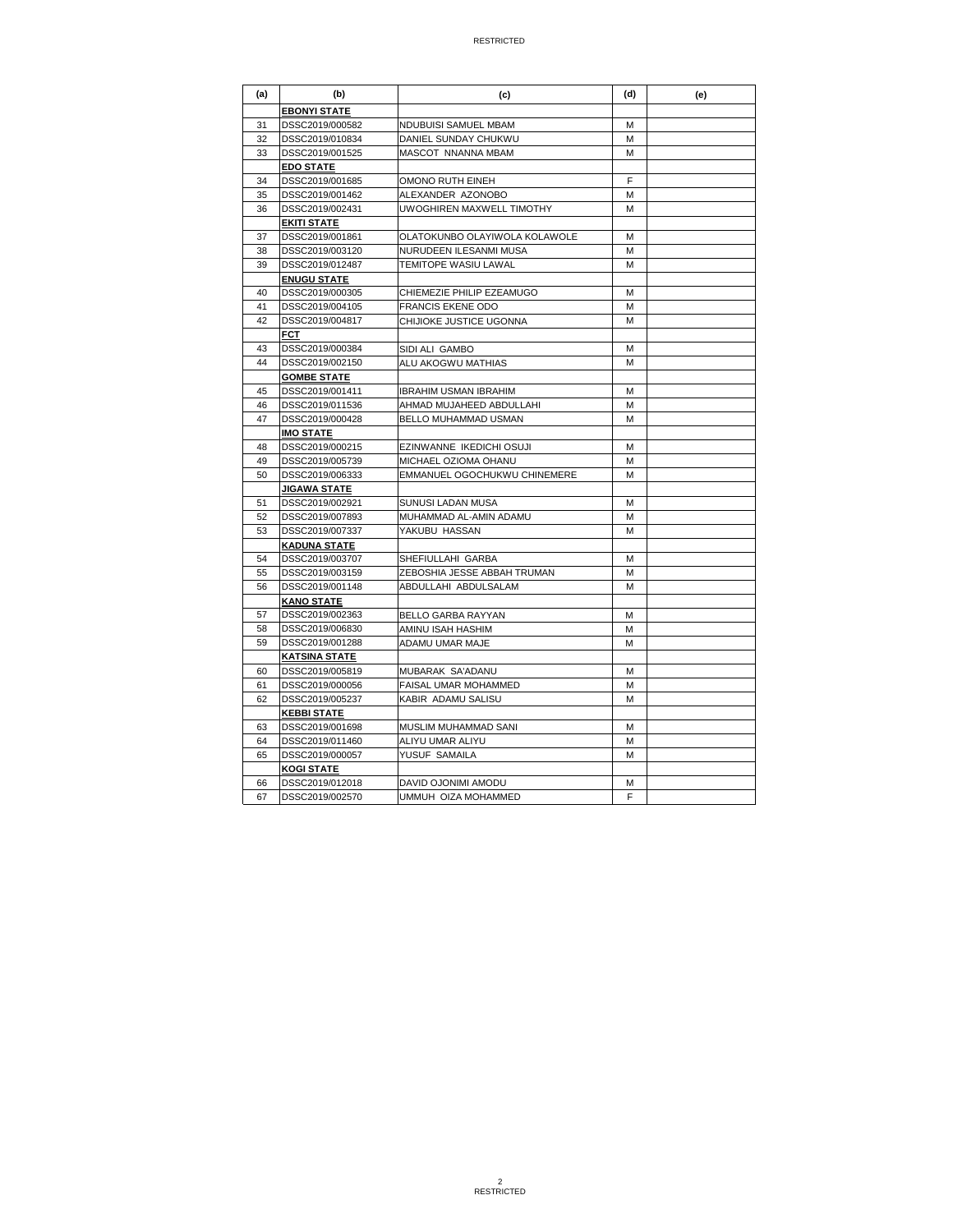| (a) | (b)                  | (c)                           | (d) | (e) |
|-----|----------------------|-------------------------------|-----|-----|
|     | <b>EBONYI STATE</b>  |                               |     |     |
| 31  | DSSC2019/000582      | NDUBUISI SAMUEL MBAM          | м   |     |
| 32  | DSSC2019/010834      | DANIEL SUNDAY CHUKWU          | М   |     |
| 33  | DSSC2019/001525      | MASCOT NNANNA MBAM            | М   |     |
|     | <b>EDO STATE</b>     |                               |     |     |
| 34  | DSSC2019/001685      | OMONO RUTH EINEH              | F   |     |
| 35  | DSSC2019/001462      | ALEXANDER AZONOBO             | М   |     |
| 36  | DSSC2019/002431      | UWOGHIREN MAXWELL TIMOTHY     | М   |     |
|     | <b>EKITI STATE</b>   |                               |     |     |
| 37  | DSSC2019/001861      | OLATOKUNBO OLAYIWOLA KOLAWOLE | М   |     |
| 38  | DSSC2019/003120      | NURUDEEN ILESANMI MUSA        | М   |     |
| 39  | DSSC2019/012487      | TEMITOPE WASIU LAWAL          | М   |     |
|     | <b>ENUGU STATE</b>   |                               |     |     |
| 40  | DSSC2019/000305      | CHIEMEZIE PHILIP EZEAMUGO     | М   |     |
| 41  | DSSC2019/004105      | <b>FRANCIS EKENE ODO</b>      | М   |     |
| 42  | DSSC2019/004817      | CHIJIOKE JUSTICE UGONNA       | М   |     |
|     | <b>FCT</b>           |                               |     |     |
| 43  | DSSC2019/000384      | SIDI ALI GAMBO                | M   |     |
| 44  | DSSC2019/002150      | ALU AKOGWU MATHIAS            | М   |     |
|     | <b>GOMBE STATE</b>   |                               |     |     |
| 45  | DSSC2019/001411      | <b>IBRAHIM USMAN IBRAHIM</b>  | м   |     |
| 46  | DSSC2019/011536      | AHMAD MUJAHEED ABDULLAHI      | М   |     |
| 47  | DSSC2019/000428      | BELLO MUHAMMAD USMAN          | М   |     |
|     | <b>IMO STATE</b>     |                               |     |     |
| 48  | DSSC2019/000215      | EZINWANNE IKEDICHI OSUJI      | М   |     |
| 49  | DSSC2019/005739      | MICHAEL OZIOMA OHANU          | М   |     |
| 50  | DSSC2019/006333      | EMMANUEL OGOCHUKWU CHINEMERE  | M   |     |
|     | <b>JIGAWA STATE</b>  |                               |     |     |
| 51  | DSSC2019/002921      | SUNUSI LADAN MUSA             | М   |     |
| 52  | DSSC2019/007893      | MUHAMMAD AL-AMIN ADAMU        | М   |     |
| 53  | DSSC2019/007337      | YAKUBU HASSAN                 | М   |     |
|     | <u>KADUNA STATE</u>  |                               |     |     |
| 54  | DSSC2019/003707      | SHEFIULLAHI GARBA             | M   |     |
| 55  | DSSC2019/003159      | ZEBOSHIA JESSE ABBAH TRUMAN   | М   |     |
| 56  | DSSC2019/001148      | ABDULLAHI ABDULSALAM          | м   |     |
|     | <b>KANO STATE</b>    |                               |     |     |
| 57  | DSSC2019/002363      | <b>BELLO GARBA RAYYAN</b>     | м   |     |
| 58  | DSSC2019/006830      | AMINU ISAH HASHIM             | М   |     |
| 59  | DSSC2019/001288      | ADAMU UMAR MAJE               | М   |     |
|     | <b>KATSINA STATE</b> |                               |     |     |
| 60  | DSSC2019/005819      | MUBARAK SA'ADANU              | М   |     |
| 61  | DSSC2019/000056      | FAISAL UMAR MOHAMMED          | М   |     |
| 62  | DSSC2019/005237      | KABIR ADAMU SALISU            | M   |     |
|     | <b>KEBBI STATE</b>   |                               |     |     |
| 63  | DSSC2019/001698      | MUSLIM MUHAMMAD SANI          | М   |     |
| 64  | DSSC2019/011460      | ALIYU UMAR ALIYU              | М   |     |
| 65  | DSSC2019/000057      | YUSUF SAMAILA                 | М   |     |
|     | <b>KOGI STATE</b>    |                               |     |     |
| 66  | DSSC2019/012018      | DAVID OJONIMI AMODU           | М   |     |
| 67  | DSSC2019/002570      | UMMUH OIZA MOHAMMED           | F   |     |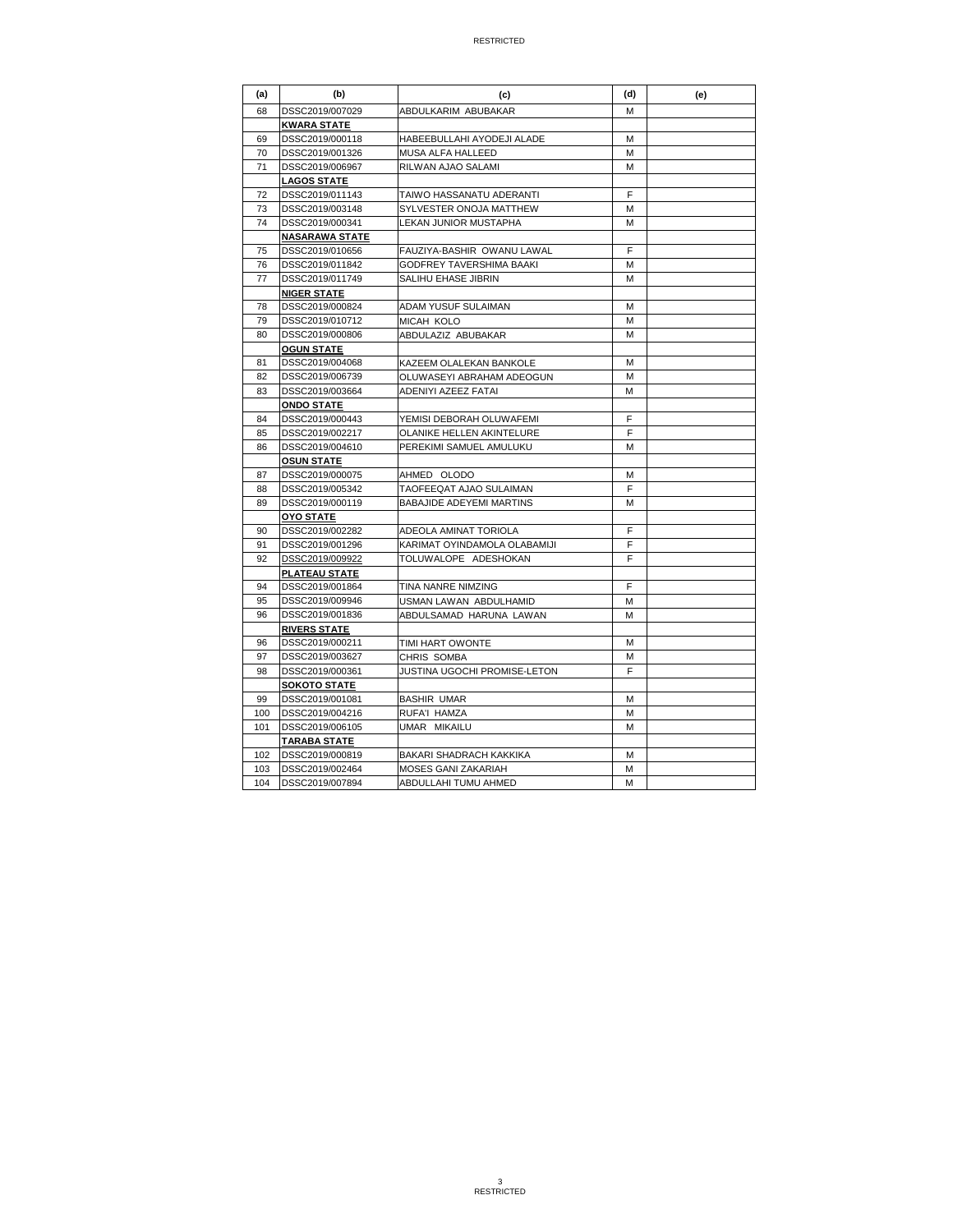| (a) | (b)                   | (c)                              | (d) | (e) |
|-----|-----------------------|----------------------------------|-----|-----|
| 68  | DSSC2019/007029       | ABDULKARIM ABUBAKAR              | М   |     |
|     | <b>KWARA STATE</b>    |                                  |     |     |
| 69  | DSSC2019/000118       | HABEEBULLAHI AYODEJI ALADE       | M   |     |
| 70  | DSSC2019/001326       | MUSA ALFA HALLEED                | М   |     |
| 71  | DSSC2019/006967       | RILWAN AJAO SALAMI               | M   |     |
|     | <b>LAGOS STATE</b>    |                                  |     |     |
| 72  | DSSC2019/011143       | TAIWO HASSANATU ADERANTI         | F   |     |
| 73  | DSSC2019/003148       | SYLVESTER ONOJA MATTHEW          | М   |     |
| 74  | DSSC2019/000341       | <b>LEKAN JUNIOR MUSTAPHA</b>     | М   |     |
|     | <b>NASARAWA STATE</b> |                                  |     |     |
| 75  | DSSC2019/010656       | FAUZIYA-BASHIR OWANU LAWAL       | F   |     |
| 76  | DSSC2019/011842       | GODFREY TAVERSHIMA BAAKI         | М   |     |
| 77  | DSSC2019/011749       | SALIHU EHASE JIBRIN              | м   |     |
|     | <b>NIGER STATE</b>    |                                  |     |     |
| 78  | DSSC2019/000824       | ADAM YUSUF SULAIMAN              | М   |     |
| 79  | DSSC2019/010712       | MICAH KOLO                       | М   |     |
| 80  | DSSC2019/000806       | ABDULAZIZ ABUBAKAR               | М   |     |
|     | <b>OGUN STATE</b>     |                                  |     |     |
| 81  | DSSC2019/004068       | KAZEEM OLALEKAN BANKOLE          | М   |     |
| 82  | DSSC2019/006739       | OLUWASEYI ABRAHAM ADEOGUN        | M   |     |
| 83  | DSSC2019/003664       | <b>ADENIYI AZEEZ FATAI</b>       | M   |     |
|     | <b>ONDO STATE</b>     |                                  |     |     |
| 84  | DSSC2019/000443       | YEMISI DEBORAH OLUWAFEMI         | F   |     |
| 85  | DSSC2019/002217       | <b>OLANIKE HELLEN AKINTELURE</b> | F   |     |
| 86  | DSSC2019/004610       | PEREKIMI SAMUEL AMULUKU          | М   |     |
|     | <u>OSUN STATE</u>     |                                  |     |     |
| 87  | DSSC2019/000075       | AHMED OLODO                      | М   |     |
| 88  | DSSC2019/005342       | TAOFEEQAT AJAO SULAIMAN          | F   |     |
| 89  | DSSC2019/000119       | <b>BABAJIDE ADEYEMI MARTINS</b>  | м   |     |
|     | <u>OYO STATE</u>      |                                  |     |     |
| 90  | DSSC2019/002282       | ADEOLA AMINAT TORIOLA            | F   |     |
| 91  | DSSC2019/001296       | KARIMAT OYINDAMOLA OLABAMIJI     | F   |     |
| 92  | DSSC2019/009922       | TOLUWALOPE ADESHOKAN             | F   |     |
|     | <b>PLATEAU STATE</b>  |                                  |     |     |
| 94  | DSSC2019/001864       | TINA NANRE NIMZING               | F   |     |
| 95  | DSSC2019/009946       | USMAN LAWAN ABDULHAMID           | м   |     |
| 96  | DSSC2019/001836       | ABDULSAMAD HARUNA LAWAN          | M   |     |
|     | <b>RIVERS STATE</b>   |                                  |     |     |
| 96  | DSSC2019/000211       | TIMI HART OWONTE                 | M   |     |
| 97  | DSSC2019/003627       | CHRIS SOMBA                      | М   |     |
| 98  | DSSC2019/000361       | JUSTINA UGOCHI PROMISE-LETON     | F   |     |
|     | <b>SOKOTO STATE</b>   |                                  |     |     |
| 99  | DSSC2019/001081       | <b>BASHIR UMAR</b>               | М   |     |
| 100 | DSSC2019/004216       | RUFA'I HAMZA                     | М   |     |
| 101 | DSSC2019/006105       | UMAR MIKAILU                     | М   |     |
|     | <b>TARABA STATE</b>   |                                  |     |     |
| 102 | DSSC2019/000819       | BAKARI SHADRACH KAKKIKA          | М   |     |
| 103 | DSSC2019/002464       | <b>MOSES GANI ZAKARIAH</b>       | М   |     |
| 104 | DSSC2019/007894       | ABDULLAHI TUMU AHMED             | м   |     |